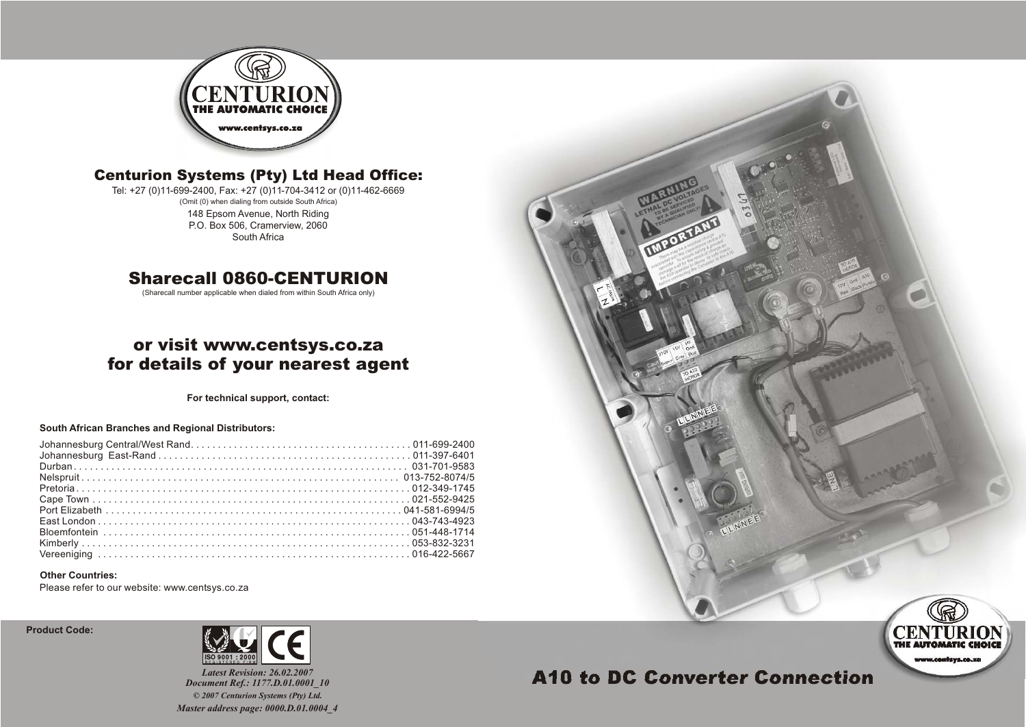

### Centurion Systems (Pty) Ltd Head Office:

(Omit (0) when dialing from outside South Africa) Tel: +27 (0)11-699-2400, Fax: +27 (0)11-704-3412 or (0)11-462-6669 148 Epsom Avenue, North Riding P.O. Box 506, Cramerview, 2060 South Africa

### Sharecall 0860-CENTURION

(Sharecall number applicable when dialed from within South Africa only)

## or visit www.centsys.co.za for details of your nearest agent

**For technical support, contact:**

#### **South African Branches and Regional Distributors:**

#### **Other Countries:**

Please refer to our website: www.centsys.co.za

**Product Code:** 



*Latest Revision: 26.02.2007 Document Ref.: 1177.D.01.0001\_10 Master address page: 0000.D.01.0004\_4 © 2007 Centurion Systems (Pty) Ltd.*



# A10 to DC Converter Connection

www.confsys.co.zo